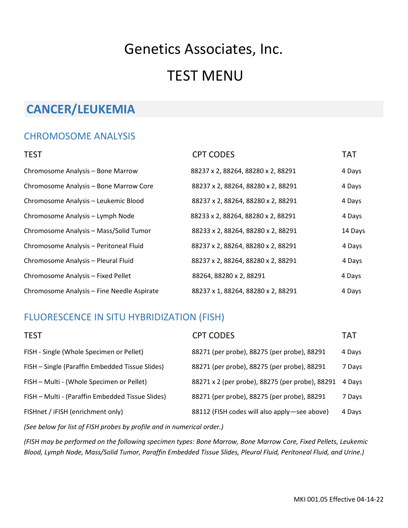# Genetics Associates, Inc. TEST MENU

## **CANCER/LEUKEMIA**

### CHROMOSOME ANALYSIS

| <b>TEST</b>                                | <b>CPT CODES</b>                   | <b>TAT</b> |
|--------------------------------------------|------------------------------------|------------|
| Chromosome Analysis - Bone Marrow          | 88237 x 2, 88264, 88280 x 2, 88291 | 4 Days     |
| Chromosome Analysis - Bone Marrow Core     | 88237 x 2, 88264, 88280 x 2, 88291 | 4 Days     |
| Chromosome Analysis - Leukemic Blood       | 88237 x 2, 88264, 88280 x 2, 88291 | 4 Days     |
| Chromosome Analysis - Lymph Node           | 88233 x 2, 88264, 88280 x 2, 88291 | 4 Days     |
| Chromosome Analysis - Mass/Solid Tumor     | 88233 x 2, 88264, 88280 x 2, 88291 | 14 Days    |
| Chromosome Analysis - Peritoneal Fluid     | 88237 x 2, 88264, 88280 x 2, 88291 | 4 Days     |
| Chromosome Analysis - Pleural Fluid        | 88237 x 2, 88264, 88280 x 2, 88291 | 4 Days     |
| Chromosome Analysis - Fixed Pellet         | 88264, 88280 x 2, 88291            | 4 Days     |
| Chromosome Analysis - Fine Needle Aspirate | 88237 x 1, 88264, 88280 x 2, 88291 | 4 Days     |

### FLUORESCENCE IN SITU HYBRIDIZATION (FISH)

| <b>CPT CODES</b>                                | <b>TAT</b> |
|-------------------------------------------------|------------|
| 88271 (per probe), 88275 (per probe), 88291     | 4 Days     |
| 88271 (per probe), 88275 (per probe), 88291     | 7 Days     |
| 88271 x 2 (per probe), 88275 (per probe), 88291 | 4 Days     |
| 88271 (per probe), 88275 (per probe), 88291     | 7 Days     |
| 88112 (FISH codes will also apply—see above)    | 4 Days     |
|                                                 |            |

*(See below for list of FISH probes by profile and in numerical order.)*

*(FISH may be performed on the following specimen types: Bone Marrow, Bone Marrow Core, Fixed Pellets, Leukemic Blood, Lymph Node, Mass/Solid Tumor, Paraffin Embedded Tissue Slides, Pleural Fluid, Peritoneal Fluid, and Urine.)*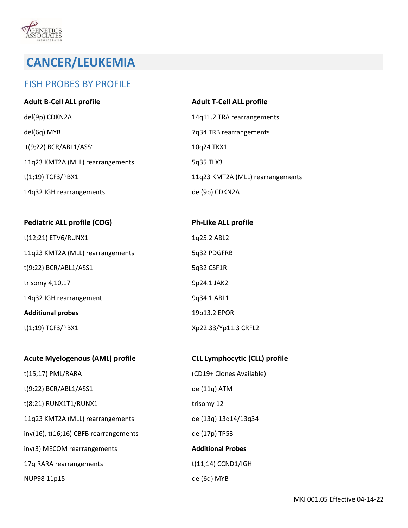**VOCENETICS**<br>ASSOCIATES

### FISH PROBES BY PROFILE

| <b>Adult B-Cell ALL profile</b>  | <b>Adult T-Cell ALL profile</b>  |
|----------------------------------|----------------------------------|
| del(9p) CDKN2A                   | 14q11.2 TRA rearrangements       |
| del(6q) MYB                      | 7q34 TRB rearrangements          |
| t(9;22) BCR/ABL1/ASS1            | 10q24 TKX1                       |
| 11q23 KMT2A (MLL) rearrangements | 5q35 TLX3                        |
| $t(1;19)$ TCF3/PBX1              | 11q23 KMT2A (MLL) rearrangements |
| 14q32 IGH rearrangements         | del(9p) CDKN2A                   |

| <b>Pediatric ALL profile (COG)</b> | <b>Ph-Like ALL profile</b> |
|------------------------------------|----------------------------|
| t(12;21) ETV6/RUNX1                | 1q25.2 ABL2                |
| 11q23 KMT2A (MLL) rearrangements   | 5q32 PDGFRB                |
| t(9;22) BCR/ABL1/ASS1              | 5q32 CSF1R                 |
| trisomy 4,10,17                    | 9p24.1 JAK2                |
| 14q32 IGH rearrangement            | 9q34.1 ABL1                |
| <b>Additional probes</b>           | 19p13.2 EPOR               |
| $t(1;19)$ TCF3/PBX1                | Xp22.33/Yp11.3 CRFL2       |

| <b>Acute Myelogenous (AML) profile</b>     | <b>CLL Lymphocytic (CLL) profile</b> |
|--------------------------------------------|--------------------------------------|
| $t(15;17)$ PML/RARA                        | (CD19+ Clones Available)             |
| $t(9;22)$ BCR/ABL1/ASS1                    | del(11q) ATM                         |
| t(8;21) RUNX1T1/RUNX1                      | trisomy 12                           |
| 11q23 KMT2A (MLL) rearrangements           | del(13q) 13q14/13q34                 |
| $inv(16)$ , $t(16;16)$ CBFB rearrangements | del(17p) TP53                        |
| inv(3) MECOM rearrangements                | <b>Additional Probes</b>             |
| 17q RARA rearrangements                    | $t(11;14)$ CCND1/IGH                 |
| NUP98 11p15                                | del(6q) MYB                          |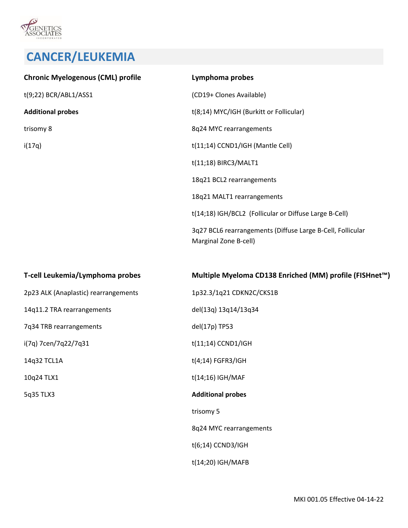

| <b>Chronic Myelogenous (CML) profile</b> | Lymphoma probes                                                                     |
|------------------------------------------|-------------------------------------------------------------------------------------|
| t(9;22) BCR/ABL1/ASS1                    | (CD19+ Clones Available)                                                            |
| <b>Additional probes</b>                 | t(8;14) MYC/IGH (Burkitt or Follicular)                                             |
| trisomy 8                                | 8q24 MYC rearrangements                                                             |
| i(17q)                                   | t(11;14) CCND1/IGH (Mantle Cell)                                                    |
|                                          | t(11;18) BIRC3/MALT1                                                                |
|                                          | 18q21 BCL2 rearrangements                                                           |
|                                          | 18q21 MALT1 rearrangements                                                          |
|                                          | t(14;18) IGH/BCL2 (Follicular or Diffuse Large B-Cell)                              |
|                                          | 3q27 BCL6 rearrangements (Diffuse Large B-Cell, Follicular<br>Marginal Zone B-cell) |
|                                          |                                                                                     |

| T-cell Leukemia/Lymphoma probes      | Multiple Myeloma CD138 Enriched (MM) profile (FISHnet™) |
|--------------------------------------|---------------------------------------------------------|
| 2p23 ALK (Anaplastic) rearrangements | 1p32.3/1q21 CDKN2C/CKS1B                                |
| 14q11.2 TRA rearrangements           | del(13q) 13q14/13q34                                    |
| 7q34 TRB rearrangements              | del(17p) TP53                                           |
| i(7q) 7cen/7q22/7q31                 | $t(11;14)$ CCND1/IGH                                    |
| 14q32 TCL1A                          | $t(4;14)$ FGFR3/IGH                                     |
| 10q24 TLX1                           | t(14;16) IGH/MAF                                        |
| 5q35 TLX3                            | <b>Additional probes</b>                                |
|                                      | trisomy 5                                               |
|                                      | 8q24 MYC rearrangements                                 |
|                                      | $t(6;14)$ CCND3/IGH                                     |
|                                      | t(14;20) IGH/MAFB                                       |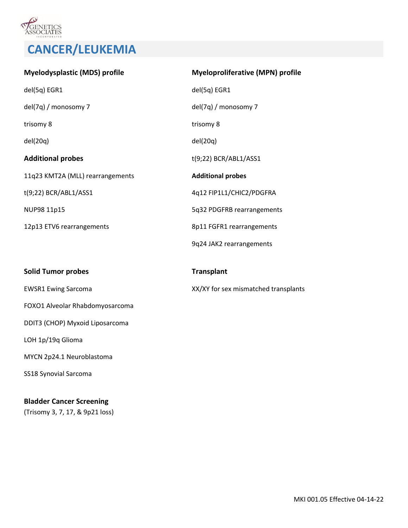

| <b>Myelodysplastic (MDS) profile</b> | <b>Myeloproliferative (MPN) profile</b> |
|--------------------------------------|-----------------------------------------|
| del(5q) EGR1                         | del(5q) EGR1                            |
| del(7q) / monosomy 7                 | del(7q) / monosomy 7                    |
| trisomy 8                            | trisomy 8                               |
| del(20q)                             | del(20q)                                |
| <b>Additional probes</b>             | t(9;22) BCR/ABL1/ASS1                   |
| 11q23 KMT2A (MLL) rearrangements     | <b>Additional probes</b>                |
| t(9;22) BCR/ABL1/ASS1                | 4q12 FIP1L1/CHIC2/PDGFRA                |
| NUP98 11p15                          | 5q32 PDGFRB rearrangements              |
| 12p13 ETV6 rearrangements            | 8p11 FGFR1 rearrangements               |
|                                      | 9q24 JAK2 rearrangements                |
| <b>Solid Tumor probes</b>            | <b>Transplant</b>                       |
| <b>EWSR1 Ewing Sarcoma</b>           | XX/XY for sex mismatched transplants    |
| FOXO1 Alveolar Rhabdomyosarcoma      |                                         |
| DDIT3 (CHOP) Myxoid Liposarcoma      |                                         |
| LOH 1p/19q Glioma                    |                                         |
| MYCN 2p24.1 Neuroblastoma            |                                         |
| SS18 Synovial Sarcoma                |                                         |
|                                      |                                         |

#### **Bladder Cancer Screening**

(Trisomy 3, 7, 17, & 9p21 loss)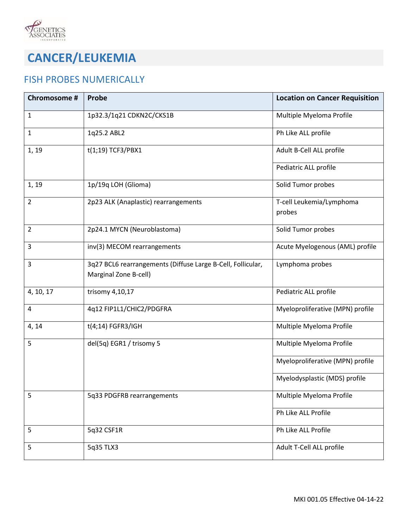

### FISH PROBES NUMERICALLY

| Chromosome #   | <b>Probe</b>                                                                         | <b>Location on Cancer Requisition</b> |
|----------------|--------------------------------------------------------------------------------------|---------------------------------------|
| $\mathbf{1}$   | 1p32.3/1q21 CDKN2C/CKS1B                                                             | Multiple Myeloma Profile              |
| $\mathbf{1}$   | 1q25.2 ABL2                                                                          | Ph Like ALL profile                   |
| 1, 19          | $t(1;19)$ TCF3/PBX1                                                                  | Adult B-Cell ALL profile              |
|                |                                                                                      | Pediatric ALL profile                 |
| 1, 19          | 1p/19q LOH (Glioma)                                                                  | Solid Tumor probes                    |
| $\overline{2}$ | 2p23 ALK (Anaplastic) rearrangements                                                 | T-cell Leukemia/Lymphoma<br>probes    |
| $\overline{2}$ | 2p24.1 MYCN (Neuroblastoma)                                                          | Solid Tumor probes                    |
| 3              | inv(3) MECOM rearrangements                                                          | Acute Myelogenous (AML) profile       |
| 3              | 3q27 BCL6 rearrangements (Diffuse Large B-Cell, Follicular,<br>Marginal Zone B-cell) | Lymphoma probes                       |
| 4, 10, 17      | trisomy 4,10,17                                                                      | Pediatric ALL profile                 |
| 4              | 4q12 FIP1L1/CHIC2/PDGFRA                                                             | Myeloproliferative (MPN) profile      |
| 4, 14          | t(4;14) FGFR3/IGH                                                                    | Multiple Myeloma Profile              |
| 5              | del(5q) EGR1 / trisomy 5                                                             | Multiple Myeloma Profile              |
|                |                                                                                      | Myeloproliferative (MPN) profile      |
|                |                                                                                      | Myelodysplastic (MDS) profile         |
| 5              | 5q33 PDGFRB rearrangements                                                           | Multiple Myeloma Profile              |
|                |                                                                                      | Ph Like ALL Profile                   |
| 5              | 5q32 CSF1R                                                                           | Ph Like ALL Profile                   |
| 5              | 5q35 TLX3                                                                            | Adult T-Cell ALL profile              |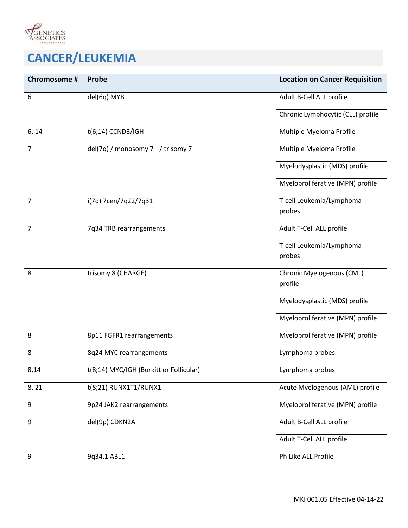

| Chromosome #   | <b>Probe</b>                            | <b>Location on Cancer Requisition</b> |
|----------------|-----------------------------------------|---------------------------------------|
| 6              | del(6q) MYB                             | Adult B-Cell ALL profile              |
|                |                                         | Chronic Lymphocytic (CLL) profile     |
| 6, 14          | $t(6;14)$ CCND3/IGH                     | Multiple Myeloma Profile              |
| $\overline{7}$ | del(7q) / monosomy 7 / trisomy 7        | Multiple Myeloma Profile              |
|                |                                         | Myelodysplastic (MDS) profile         |
|                |                                         | Myeloproliferative (MPN) profile      |
| 7              | i(7q) 7cen/7q22/7q31                    | T-cell Leukemia/Lymphoma<br>probes    |
|                |                                         |                                       |
| 7              | 7q34 TRB rearrangements                 | Adult T-Cell ALL profile              |
|                |                                         | T-cell Leukemia/Lymphoma              |
|                |                                         | probes                                |
| 8              | trisomy 8 (CHARGE)                      | Chronic Myelogenous (CML)             |
|                |                                         | profile                               |
|                |                                         | Myelodysplastic (MDS) profile         |
|                |                                         | Myeloproliferative (MPN) profile      |
| 8              | 8p11 FGFR1 rearrangements               | Myeloproliferative (MPN) profile      |
| 8              | 8q24 MYC rearrangements                 | Lymphoma probes                       |
| 8,14           | t(8;14) MYC/IGH (Burkitt or Follicular) | Lymphoma probes                       |
| 8, 21          | t(8;21) RUNX1T1/RUNX1                   | Acute Myelogenous (AML) profile       |
| 9              | 9p24 JAK2 rearrangements                | Myeloproliferative (MPN) profile      |
| 9              | del(9p) CDKN2A                          | Adult B-Cell ALL profile              |
|                |                                         | Adult T-Cell ALL profile              |
| 9              | 9q34.1 ABL1                             | Ph Like ALL Profile                   |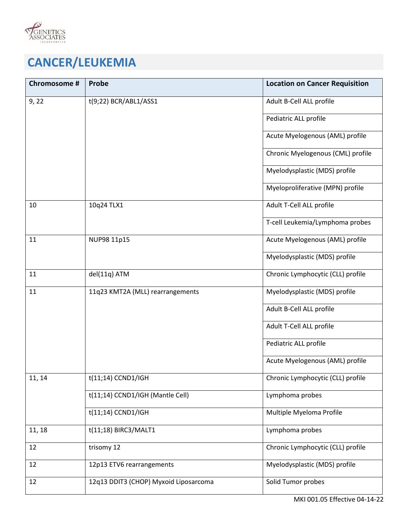

| Chromosome # | Probe                                 | <b>Location on Cancer Requisition</b> |
|--------------|---------------------------------------|---------------------------------------|
| 9,22         | t(9;22) BCR/ABL1/ASS1                 | Adult B-Cell ALL profile              |
|              |                                       | Pediatric ALL profile                 |
|              |                                       | Acute Myelogenous (AML) profile       |
|              |                                       | Chronic Myelogenous (CML) profile     |
|              |                                       | Myelodysplastic (MDS) profile         |
|              |                                       | Myeloproliferative (MPN) profile      |
| 10           | 10q24 TLX1                            | Adult T-Cell ALL profile              |
|              |                                       | T-cell Leukemia/Lymphoma probes       |
| 11           | NUP98 11p15                           | Acute Myelogenous (AML) profile       |
|              |                                       | Myelodysplastic (MDS) profile         |
| 11           | del(11q) ATM                          | Chronic Lymphocytic (CLL) profile     |
| 11           | 11q23 KMT2A (MLL) rearrangements      | Myelodysplastic (MDS) profile         |
|              |                                       | Adult B-Cell ALL profile              |
|              |                                       | Adult T-Cell ALL profile              |
|              |                                       | Pediatric ALL profile                 |
|              |                                       | Acute Myelogenous (AML) profile       |
| 11, 14       | $t(11;14)$ CCND1/IGH                  | Chronic Lymphocytic (CLL) profile     |
|              | t(11;14) CCND1/IGH (Mantle Cell)      | Lymphoma probes                       |
|              | t(11;14) CCND1/IGH                    | Multiple Myeloma Profile              |
| 11, 18       | t(11;18) BIRC3/MALT1                  | Lymphoma probes                       |
| 12           | trisomy 12                            | Chronic Lymphocytic (CLL) profile     |
| 12           | 12p13 ETV6 rearrangements             | Myelodysplastic (MDS) profile         |
| 12           | 12q13 DDIT3 (CHOP) Myxoid Liposarcoma | Solid Tumor probes                    |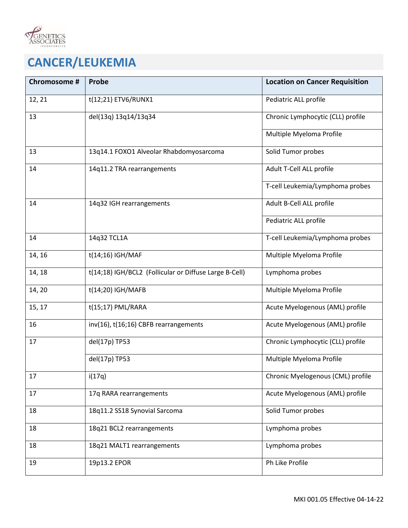

| Chromosome # | Probe                                                  | <b>Location on Cancer Requisition</b> |
|--------------|--------------------------------------------------------|---------------------------------------|
| 12, 21       | t(12;21) ETV6/RUNX1                                    | Pediatric ALL profile                 |
| 13           | del(13q) 13q14/13q34                                   | Chronic Lymphocytic (CLL) profile     |
|              |                                                        | Multiple Myeloma Profile              |
| 13           | 13q14.1 FOXO1 Alveolar Rhabdomyosarcoma                | Solid Tumor probes                    |
| 14           | 14q11.2 TRA rearrangements                             | Adult T-Cell ALL profile              |
|              |                                                        | T-cell Leukemia/Lymphoma probes       |
| 14           | 14q32 IGH rearrangements                               | Adult B-Cell ALL profile              |
|              |                                                        | Pediatric ALL profile                 |
| 14           | 14q32 TCL1A                                            | T-cell Leukemia/Lymphoma probes       |
| 14, 16       | t(14;16) IGH/MAF                                       | Multiple Myeloma Profile              |
| 14, 18       | t(14;18) IGH/BCL2 (Follicular or Diffuse Large B-Cell) | Lymphoma probes                       |
| 14, 20       | t(14;20) IGH/MAFB                                      | Multiple Myeloma Profile              |
| 15, 17       | t(15;17) PML/RARA                                      | Acute Myelogenous (AML) profile       |
| 16           | inv(16), t(16;16) CBFB rearrangements                  | Acute Myelogenous (AML) profile       |
| 17           | del(17p) TP53                                          | Chronic Lymphocytic (CLL) profile     |
|              | del(17p) TP53                                          | Multiple Myeloma Profile              |
| 17           | i(17q)                                                 | Chronic Myelogenous (CML) profile     |
| 17           | 17q RARA rearrangements                                | Acute Myelogenous (AML) profile       |
| 18           | 18q11.2 SS18 Synovial Sarcoma                          | Solid Tumor probes                    |
| 18           | 18q21 BCL2 rearrangements                              | Lymphoma probes                       |
| 18           | 18q21 MALT1 rearrangements                             | Lymphoma probes                       |
| 19           | 19p13.2 EPOR                                           | Ph Like Profile                       |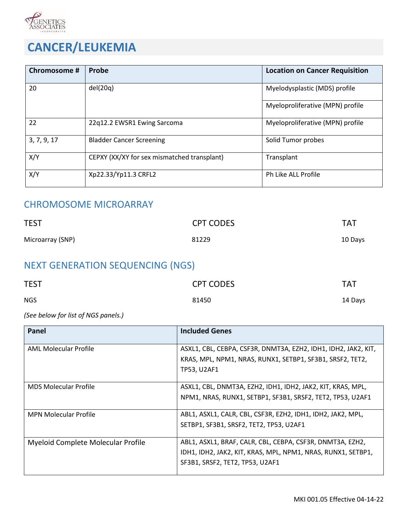

| Chromosome # | Probe                                       | <b>Location on Cancer Requisition</b> |
|--------------|---------------------------------------------|---------------------------------------|
| 20           | del(20q)                                    | Myelodysplastic (MDS) profile         |
|              |                                             | Myeloproliferative (MPN) profile      |
| 22           | 22q12.2 EWSR1 Ewing Sarcoma                 | Myeloproliferative (MPN) profile      |
| 3, 7, 9, 17  | <b>Bladder Cancer Screening</b>             | Solid Tumor probes                    |
| X/Y          | CEPXY (XX/XY for sex mismatched transplant) | Transplant                            |
| X/Y          | Xp22.33/Yp11.3 CRFL2                        | Ph Like ALL Profile                   |

### CHROMOSOME MICROARRAY

| <b>TEST</b>      | <b>CPT CODES</b> | <b>TAT</b> |
|------------------|------------------|------------|
| Microarray (SNP) | 81229            | 10 Days    |

### NEXT GENERATION SEQUENCING (NGS)

| <b>TEST</b> | <b>CPT CODES</b> | <b>TAT</b> |
|-------------|------------------|------------|
| <b>NGS</b>  | 81450            | 14 Days    |

#### *(See below for list of NGS panels.)*

| Panel                              | <b>Included Genes</b>                                          |
|------------------------------------|----------------------------------------------------------------|
| AML Molecular Profile              | ASXL1, CBL, CEBPA, CSF3R, DNMT3A, EZH2, IDH1, IDH2, JAK2, KIT, |
|                                    | KRAS, MPL, NPM1, NRAS, RUNX1, SETBP1, SF3B1, SRSF2, TET2,      |
|                                    | <b>TP53, U2AF1</b>                                             |
| <b>MDS Molecular Profile</b>       | ASXL1, CBL, DNMT3A, EZH2, IDH1, IDH2, JAK2, KIT, KRAS, MPL,    |
|                                    | NPM1, NRAS, RUNX1, SETBP1, SF3B1, SRSF2, TET2, TP53, U2AF1     |
| <b>MPN Molecular Profile</b>       | ABL1, ASXL1, CALR, CBL, CSF3R, EZH2, IDH1, IDH2, JAK2, MPL,    |
|                                    | SETBP1, SF3B1, SRSF2, TET2, TP53, U2AF1                        |
| Myeloid Complete Molecular Profile | ABL1, ASXL1, BRAF, CALR, CBL, CEBPA, CSF3R, DNMT3A, EZH2,      |
|                                    | IDH1, IDH2, JAK2, KIT, KRAS, MPL, NPM1, NRAS, RUNX1, SETBP1,   |
|                                    | SF3B1, SRSF2, TET2, TP53, U2AF1                                |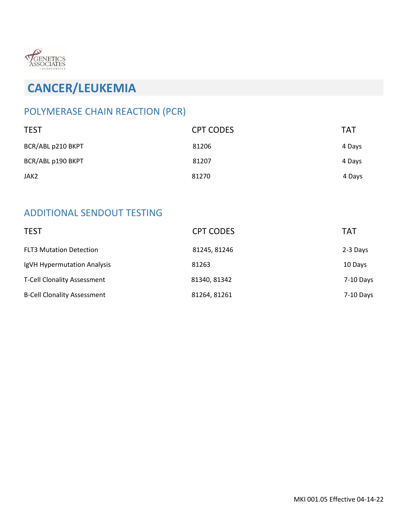

### POLYMERASE CHAIN REACTION (PCR)

| <b>TEST</b>       | <b>CPT CODES</b> | TAT    |
|-------------------|------------------|--------|
| BCR/ABL p210 BKPT | 81206            | 4 Days |
| BCR/ABL p190 BKPT | 81207            | 4 Days |
| JAK2              | 81270            | 4 Days |

### ADDITIONAL SENDOUT TESTING

| <b>TEST</b>                        | <b>CPT CODES</b> | <b>TAT</b> |
|------------------------------------|------------------|------------|
| <b>FLT3 Mutation Detection</b>     | 81245, 81246     | 2-3 Days   |
| IgVH Hypermutation Analysis        | 81263            | 10 Days    |
| <b>T-Cell Clonality Assessment</b> | 81340, 81342     | 7-10 Days  |
| <b>B-Cell Clonality Assessment</b> | 81264, 81261     | 7-10 Days  |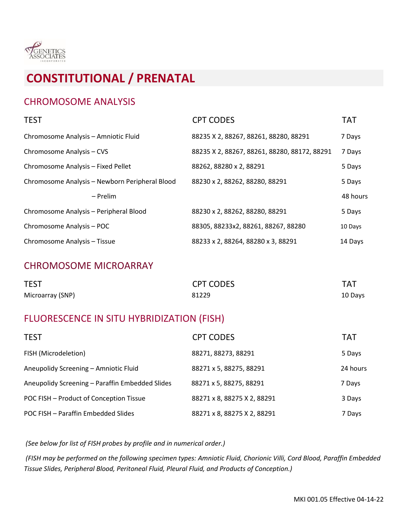

### CHROMOSOME ANALYSIS

| <b>TEST</b>                                    | <b>CPT CODES</b>                             | <b>TAT</b> |
|------------------------------------------------|----------------------------------------------|------------|
| Chromosome Analysis - Amniotic Fluid           | 88235 X 2, 88267, 88261, 88280, 88291        | 7 Days     |
| Chromosome Analysis - CVS                      | 88235 X 2, 88267, 88261, 88280, 88172, 88291 | 7 Days     |
| Chromosome Analysis - Fixed Pellet             | 88262, 88280 x 2, 88291                      | 5 Days     |
| Chromosome Analysis - Newborn Peripheral Blood | 88230 x 2, 88262, 88280, 88291               | 5 Days     |
| – Prelim                                       |                                              | 48 hours   |
| Chromosome Analysis - Peripheral Blood         | 88230 x 2, 88262, 88280, 88291               | 5 Days     |
| Chromosome Analysis - POC                      | 88305, 88233x2, 88261, 88267, 88280          | 10 Days    |
| Chromosome Analysis - Tissue                   | 88233 x 2, 88264, 88280 x 3, 88291           | 14 Days    |

### CHROMOSOME MICROARRAY

| <b>TEST</b>      | <b>CPT CODES</b> | <b>TAT</b> |
|------------------|------------------|------------|
| Microarray (SNP) | 81229            | 10 Days    |

### FLUORESCENCE IN SITU HYBRIDIZATION (FISH)

| <b>TEST</b>                                     | <b>CPT CODES</b>            | <b>TAT</b> |
|-------------------------------------------------|-----------------------------|------------|
| FISH (Microdeletion)                            | 88271, 88273, 88291         | 5 Days     |
| Aneupolidy Screening - Amniotic Fluid           | 88271 x 5, 88275, 88291     | 24 hours   |
| Aneupolidy Screening - Paraffin Embedded Slides | 88271 x 5, 88275, 88291     | 7 Days     |
| POC FISH - Product of Conception Tissue         | 88271 x 8, 88275 X 2, 88291 | 3 Days     |
| POC FISH - Paraffin Embedded Slides             | 88271 x 8, 88275 X 2, 88291 | 7 Days     |

*(See below for list of FISH probes by profile and in numerical order.)*

*(FISH may be performed on the following specimen types: Amniotic Fluid, Chorionic Villi, Cord Blood, Paraffin Embedded Tissue Slides, Peripheral Blood, Peritoneal Fluid, Pleural Fluid, and Products of Conception.)*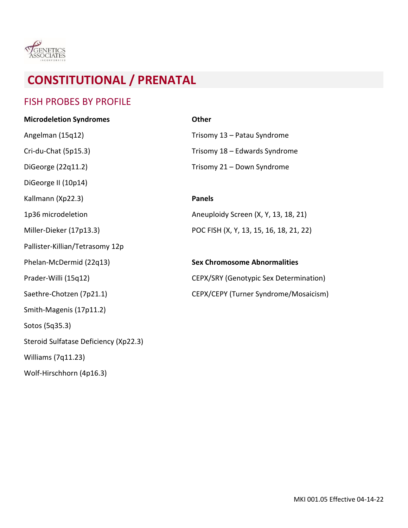

### FISH PROBES BY PROFILE

| <b>Microdeletion Syndromes</b>        | <b>Other</b>                                  |
|---------------------------------------|-----------------------------------------------|
| Angelman (15q12)                      | Trisomy 13 - Patau Syndrome                   |
| Cri-du-Chat (5p15.3)                  | Trisomy 18 - Edwards Syndrome                 |
| DiGeorge (22q11.2)                    | Trisomy 21 - Down Syndrome                    |
| DiGeorge II (10p14)                   |                                               |
| Kallmann (Xp22.3)                     | <b>Panels</b>                                 |
| 1p36 microdeletion                    | Aneuploidy Screen (X, Y, 13, 18, 21)          |
| Miller-Dieker (17p13.3)               | POC FISH (X, Y, 13, 15, 16, 18, 21, 22)       |
| Pallister-Killian/Tetrasomy 12p       |                                               |
| Phelan-McDermid (22q13)               | <b>Sex Chromosome Abnormalities</b>           |
| Prader-Willi (15q12)                  | <b>CEPX/SRY (Genotypic Sex Determination)</b> |
| Saethre-Chotzen (7p21.1)              | CEPX/CEPY (Turner Syndrome/Mosaicism)         |
| Smith-Magenis (17p11.2)               |                                               |
| Sotos (5q35.3)                        |                                               |
| Steroid Sulfatase Deficiency (Xp22.3) |                                               |
| Williams (7q11.23)                    |                                               |
| Wolf-Hirschhorn (4p16.3)              |                                               |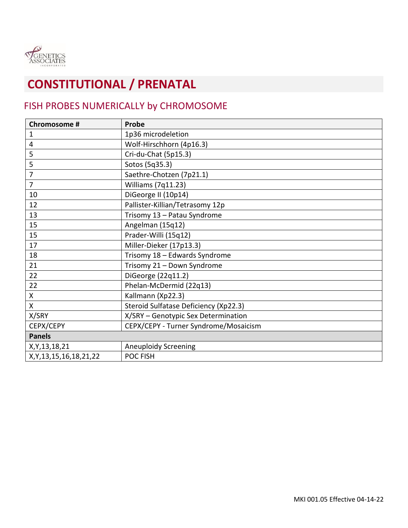

### FISH PROBES NUMERICALLY by CHROMOSOME

| Chromosome #                 | Probe                                 |
|------------------------------|---------------------------------------|
| $\mathbf{1}$                 | 1p36 microdeletion                    |
| $\overline{4}$               | Wolf-Hirschhorn (4p16.3)              |
| 5                            | Cri-du-Chat (5p15.3)                  |
| 5                            | Sotos (5q35.3)                        |
| $\overline{7}$               | Saethre-Chotzen (7p21.1)              |
| $\overline{7}$               | Williams (7q11.23)                    |
| 10                           | DiGeorge II (10p14)                   |
| 12                           | Pallister-Killian/Tetrasomy 12p       |
| 13                           | Trisomy 13 - Patau Syndrome           |
| 15                           | Angelman (15q12)                      |
| 15                           | Prader-Willi (15q12)                  |
| 17                           | Miller-Dieker (17p13.3)               |
| 18                           | Trisomy 18 - Edwards Syndrome         |
| 21                           | Trisomy 21 - Down Syndrome            |
| 22                           | DiGeorge (22q11.2)                    |
| 22                           | Phelan-McDermid (22q13)               |
| $\boldsymbol{\mathsf{X}}$    | Kallmann (Xp22.3)                     |
| X                            | Steroid Sulfatase Deficiency (Xp22.3) |
| X/SRY                        | X/SRY - Genotypic Sex Determination   |
| CEPX/CEPY                    | CEPX/CEPY - Turner Syndrome/Mosaicism |
| <b>Panels</b>                |                                       |
| X, Y, 13, 18, 21             | <b>Aneuploidy Screening</b>           |
| X, Y, 13, 15, 16, 18, 21, 22 | POC FISH                              |